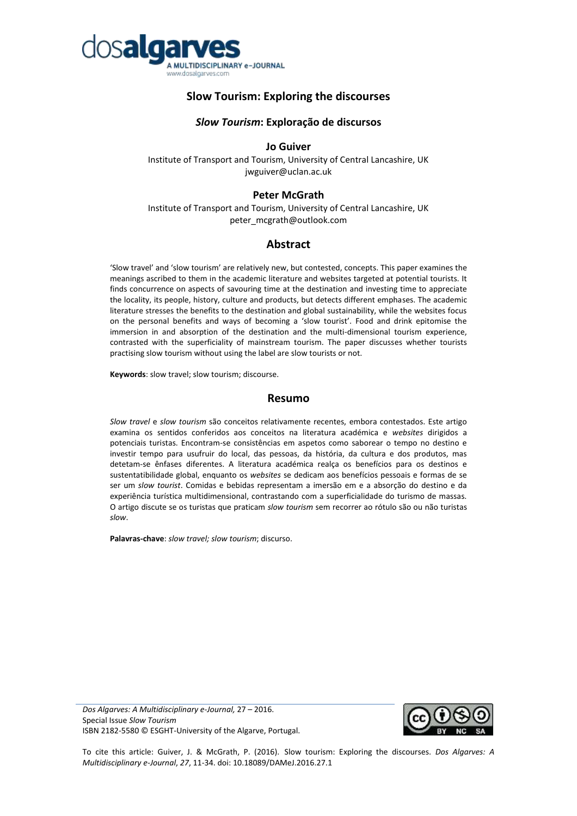

# **Slow Tourism: Exploring the discourses**

## *Slow Tourism***: Exploração de discursos**

## **Jo Guiver**

Institute of Transport and Tourism, University of Central Lancashire, UK jwguiver@uclan.ac.uk

## **Peter McGrath**

Institute of Transport and Tourism, University of Central Lancashire, UK peter\_mcgrath@outlook.com

# **Abstract**

'Slow travel' and 'slow tourism' are relatively new, but contested, concepts. This paper examines the meanings ascribed to them in the academic literature and websites targeted at potential tourists. It finds concurrence on aspects of savouring time at the destination and investing time to appreciate the locality, its people, history, culture and products, but detects different emphases. The academic literature stresses the benefits to the destination and global sustainability, while the websites focus on the personal benefits and ways of becoming a 'slow tourist'. Food and drink epitomise the immersion in and absorption of the destination and the multi-dimensional tourism experience, contrasted with the superficiality of mainstream tourism. The paper discusses whether tourists practising slow tourism without using the label are slow tourists or not.

**Keywords**: slow travel; slow tourism; discourse.

## **Resumo**

*Slow travel* e *slow tourism* são conceitos relativamente recentes, embora contestados. Este artigo examina os sentidos conferidos aos conceitos na literatura académica e *websites* dirigidos a potenciais turistas. Encontram-se consistências em aspetos como saborear o tempo no destino e investir tempo para usufruir do local, das pessoas, da história, da cultura e dos produtos, mas detetam-se ênfases diferentes. A literatura académica realça os benefícios para os destinos e sustentatibilidade global, enquanto os *websites* se dedicam aos benefícios pessoais e formas de se ser um *slow tourist*. Comidas e bebidas representam a imersão em e a absorção do destino e da experiência turística multidimensional, contrastando com a superficialidade do turismo de massas. O artigo discute se os turistas que praticam *slow tourism* sem recorrer ao rótulo são ou não turistas *slow*.

**Palavras-chave**: *slow travel; slow tourism*; discurso.

*Dos Algarves: A Multidisciplinary e-Journal,* 27 – 2016. Special Issue *Slow Tourism* ISBN 2182-5580 © ESGHT-University of the Algarve, Portugal.



To cite this article: Guiver, J. & McGrath, P. (2016). Slow tourism: Exploring the discourses. *Dos Algarves: A Multidisciplinary e-Journal*, *27*, 11-34. doi: 10.18089/DAMeJ.2016.27.1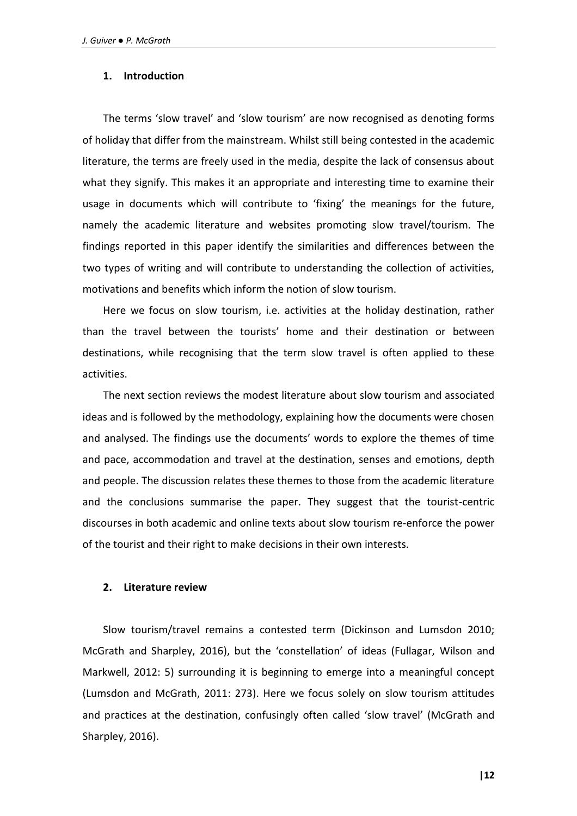## **1. Introduction**

The terms 'slow travel' and 'slow tourism' are now recognised as denoting forms of holiday that differ from the mainstream. Whilst still being contested in the academic literature, the terms are freely used in the media, despite the lack of consensus about what they signify. This makes it an appropriate and interesting time to examine their usage in documents which will contribute to 'fixing' the meanings for the future, namely the academic literature and websites promoting slow travel/tourism. The findings reported in this paper identify the similarities and differences between the two types of writing and will contribute to understanding the collection of activities, motivations and benefits which inform the notion of slow tourism.

Here we focus on slow tourism, i.e. activities at the holiday destination, rather than the travel between the tourists' home and their destination or between destinations, while recognising that the term slow travel is often applied to these activities.

The next section reviews the modest literature about slow tourism and associated ideas and is followed by the methodology, explaining how the documents were chosen and analysed. The findings use the documents' words to explore the themes of time and pace, accommodation and travel at the destination, senses and emotions, depth and people. The discussion relates these themes to those from the academic literature and the conclusions summarise the paper. They suggest that the tourist-centric discourses in both academic and online texts about slow tourism re-enforce the power of the tourist and their right to make decisions in their own interests.

#### **2. Literature review**

Slow tourism/travel remains a contested term (Dickinson and Lumsdon 2010; McGrath and Sharpley, 2016), but the 'constellation' of ideas (Fullagar, Wilson and Markwell, 2012: 5) surrounding it is beginning to emerge into a meaningful concept (Lumsdon and McGrath, 2011: 273). Here we focus solely on slow tourism attitudes and practices at the destination, confusingly often called 'slow travel' (McGrath and Sharpley, 2016).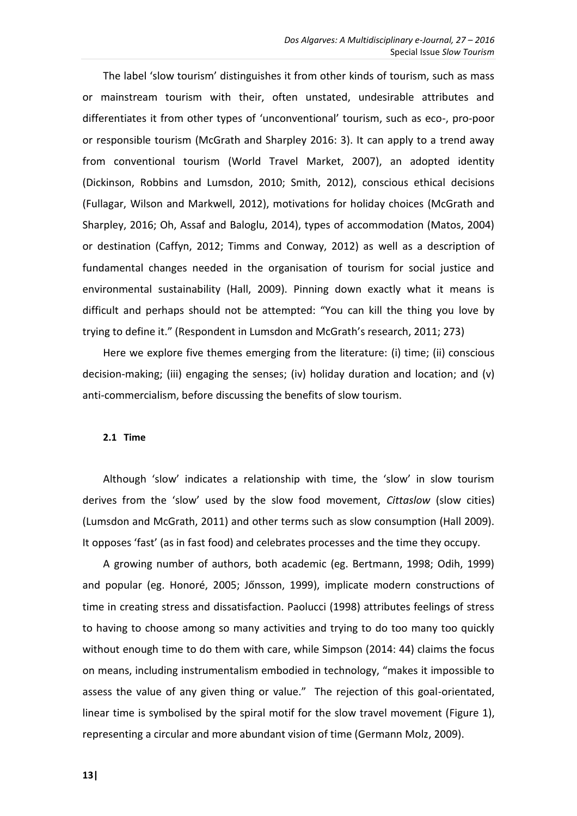The label 'slow tourism' distinguishes it from other kinds of tourism, such as mass or mainstream tourism with their, often unstated, undesirable attributes and differentiates it from other types of 'unconventional' tourism, such as eco-, pro-poor or responsible tourism (McGrath and Sharpley 2016: 3). It can apply to a trend away from conventional tourism (World Travel Market, 2007), an adopted identity (Dickinson, Robbins and Lumsdon, 2010; Smith, 2012), conscious ethical decisions (Fullagar, Wilson and Markwell, 2012), motivations for holiday choices (McGrath and Sharpley, 2016; Oh, Assaf and Baloglu, 2014), types of accommodation (Matos, 2004) or destination (Caffyn, 2012; Timms and Conway, 2012) as well as a description of fundamental changes needed in the organisation of tourism for social justice and environmental sustainability (Hall, 2009). Pinning down exactly what it means is difficult and perhaps should not be attempted: "You can kill the thing you love by trying to define it." (Respondent in Lumsdon and McGrath's research, 2011; 273)

Here we explore five themes emerging from the literature: (i) time; (ii) conscious decision-making; (iii) engaging the senses; (iv) holiday duration and location; and (v) anti-commercialism, before discussing the benefits of slow tourism.

## **2.1 Time**

Although 'slow' indicates a relationship with time, the 'slow' in slow tourism derives from the 'slow' used by the slow food movement, *Cittaslow* (slow cities) (Lumsdon and McGrath, 2011) and other terms such as slow consumption (Hall 2009). It opposes 'fast' (as in fast food) and celebrates processes and the time they occupy.

A growing number of authors, both academic (eg. Bertmann, 1998; Odih, 1999) and popular (eg. Honoré, 2005; Jőnsson, 1999), implicate modern constructions of time in creating stress and dissatisfaction. Paolucci (1998) attributes feelings of stress to having to choose among so many activities and trying to do too many too quickly without enough time to do them with care, while Simpson (2014: 44) claims the focus on means, including instrumentalism embodied in technology, "makes it impossible to assess the value of any given thing or value." The rejection of this goal-orientated, linear time is symbolised by the spiral motif for the slow travel movement (Figure 1), representing a circular and more abundant vision of time (Germann Molz, 2009).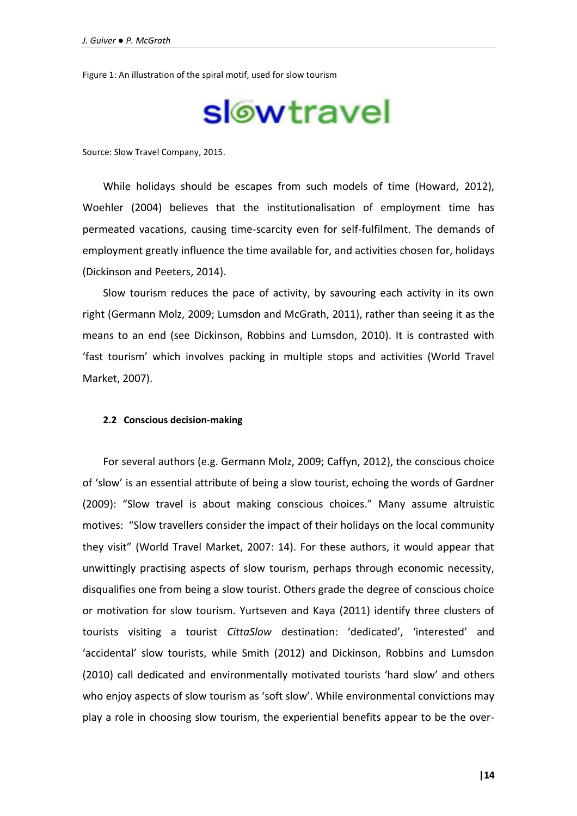Figure 1: An illustration of the spiral motif, used for slow tourism

# slowtravel

Source: Slow Travel Company, 2015.

While holidays should be escapes from such models of time (Howard, 2012), Woehler (2004) believes that the institutionalisation of employment time has permeated vacations, causing time-scarcity even for self-fulfilment. The demands of employment greatly influence the time available for, and activities chosen for, holidays (Dickinson and Peeters, 2014).

Slow tourism reduces the pace of activity, by savouring each activity in its own right (Germann Molz, 2009; Lumsdon and McGrath, 2011), rather than seeing it as the means to an end (see Dickinson, Robbins and Lumsdon, 2010). It is contrasted with 'fast tourism' which involves packing in multiple stops and activities (World Travel Market, 2007).

## **2.2 Conscious decision-making**

For several authors (e.g. Germann Molz, 2009; Caffyn, 2012), the conscious choice of 'slow' is an essential attribute of being a slow tourist, echoing the words of Gardner (2009): "Slow travel is about making conscious choices." Many assume altruistic motives: "Slow travellers consider the impact of their holidays on the local community they visit" (World Travel Market, 2007: 14). For these authors, it would appear that unwittingly practising aspects of slow tourism, perhaps through economic necessity, disqualifies one from being a slow tourist. Others grade the degree of conscious choice or motivation for slow tourism. Yurtseven and Kaya (2011) identify three clusters of tourists visiting a tourist *CittaSlow* destination: 'dedicated', 'interested' and 'accidental' slow tourists, while Smith (2012) and Dickinson, Robbins and Lumsdon (2010) call dedicated and environmentally motivated tourists 'hard slow' and others who enjoy aspects of slow tourism as 'soft slow'. While environmental convictions may play a role in choosing slow tourism, the experiential benefits appear to be the over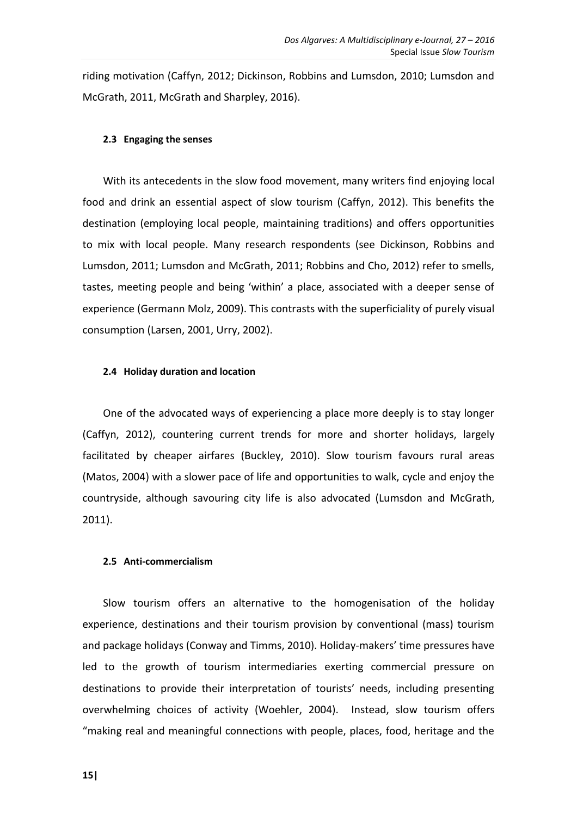riding motivation (Caffyn, 2012; Dickinson, Robbins and Lumsdon, 2010; Lumsdon and McGrath, 2011, McGrath and Sharpley, 2016).

## **2.3 Engaging the senses**

With its antecedents in the slow food movement, many writers find enjoying local food and drink an essential aspect of slow tourism (Caffyn, 2012). This benefits the destination (employing local people, maintaining traditions) and offers opportunities to mix with local people. Many research respondents (see Dickinson, Robbins and Lumsdon, 2011; Lumsdon and McGrath, 2011; Robbins and Cho, 2012) refer to smells, tastes, meeting people and being 'within' a place, associated with a deeper sense of experience (Germann Molz, 2009). This contrasts with the superficiality of purely visual consumption (Larsen, 2001, Urry, 2002).

## **2.4 Holiday duration and location**

One of the advocated ways of experiencing a place more deeply is to stay longer (Caffyn, 2012), countering current trends for more and shorter holidays, largely facilitated by cheaper airfares (Buckley, 2010). Slow tourism favours rural areas (Matos, 2004) with a slower pace of life and opportunities to walk, cycle and enjoy the countryside, although savouring city life is also advocated (Lumsdon and McGrath, 2011).

## **2.5 Anti-commercialism**

Slow tourism offers an alternative to the homogenisation of the holiday experience, destinations and their tourism provision by conventional (mass) tourism and package holidays (Conway and Timms, 2010). Holiday-makers' time pressures have led to the growth of tourism intermediaries exerting commercial pressure on destinations to provide their interpretation of tourists' needs, including presenting overwhelming choices of activity (Woehler, 2004). Instead, slow tourism offers "making real and meaningful connections with people, places, food, heritage and the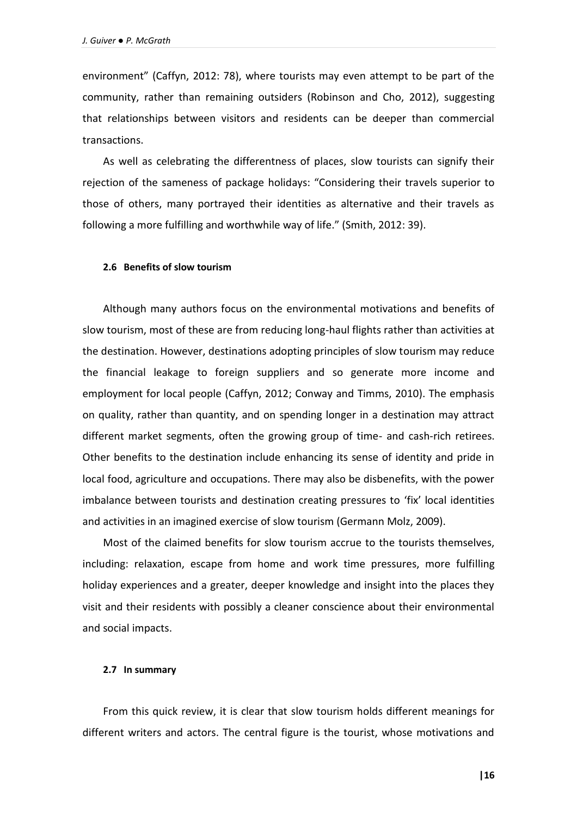environment" (Caffyn, 2012: 78), where tourists may even attempt to be part of the community, rather than remaining outsiders (Robinson and Cho, 2012), suggesting that relationships between visitors and residents can be deeper than commercial transactions.

As well as celebrating the differentness of places, slow tourists can signify their rejection of the sameness of package holidays: "Considering their travels superior to those of others, many portrayed their identities as alternative and their travels as following a more fulfilling and worthwhile way of life." (Smith, 2012: 39).

## **2.6 Benefits of slow tourism**

Although many authors focus on the environmental motivations and benefits of slow tourism, most of these are from reducing long-haul flights rather than activities at the destination. However, destinations adopting principles of slow tourism may reduce the financial leakage to foreign suppliers and so generate more income and employment for local people (Caffyn, 2012; Conway and Timms, 2010). The emphasis on quality, rather than quantity, and on spending longer in a destination may attract different market segments, often the growing group of time- and cash-rich retirees. Other benefits to the destination include enhancing its sense of identity and pride in local food, agriculture and occupations. There may also be disbenefits, with the power imbalance between tourists and destination creating pressures to 'fix' local identities and activities in an imagined exercise of slow tourism (Germann Molz, 2009).

Most of the claimed benefits for slow tourism accrue to the tourists themselves, including: relaxation, escape from home and work time pressures, more fulfilling holiday experiences and a greater, deeper knowledge and insight into the places they visit and their residents with possibly a cleaner conscience about their environmental and social impacts.

#### **2.7 In summary**

From this quick review, it is clear that slow tourism holds different meanings for different writers and actors. The central figure is the tourist, whose motivations and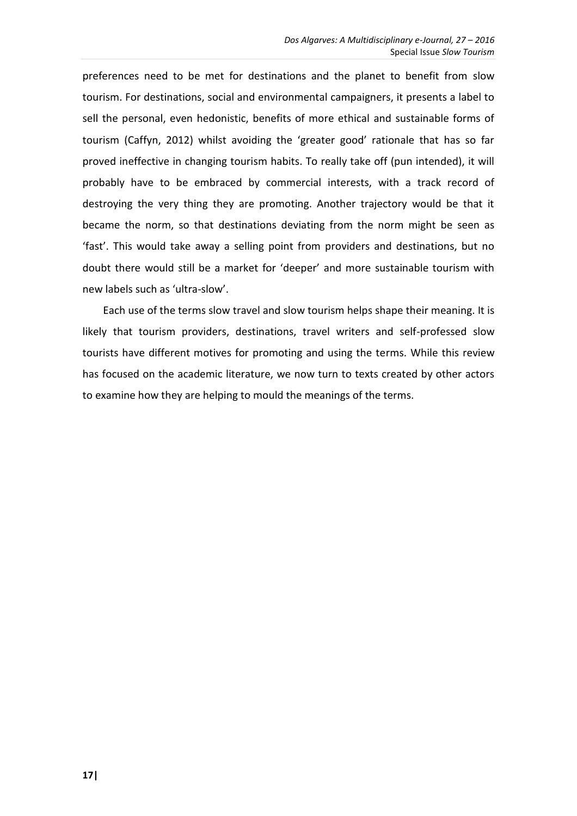preferences need to be met for destinations and the planet to benefit from slow tourism. For destinations, social and environmental campaigners, it presents a label to sell the personal, even hedonistic, benefits of more ethical and sustainable forms of tourism (Caffyn, 2012) whilst avoiding the 'greater good' rationale that has so far proved ineffective in changing tourism habits. To really take off (pun intended), it will probably have to be embraced by commercial interests, with a track record of destroying the very thing they are promoting. Another trajectory would be that it became the norm, so that destinations deviating from the norm might be seen as 'fast'. This would take away a selling point from providers and destinations, but no doubt there would still be a market for 'deeper' and more sustainable tourism with new labels such as 'ultra-slow'.

Each use of the terms slow travel and slow tourism helps shape their meaning. It is likely that tourism providers, destinations, travel writers and self-professed slow tourists have different motives for promoting and using the terms. While this review has focused on the academic literature, we now turn to texts created by other actors to examine how they are helping to mould the meanings of the terms.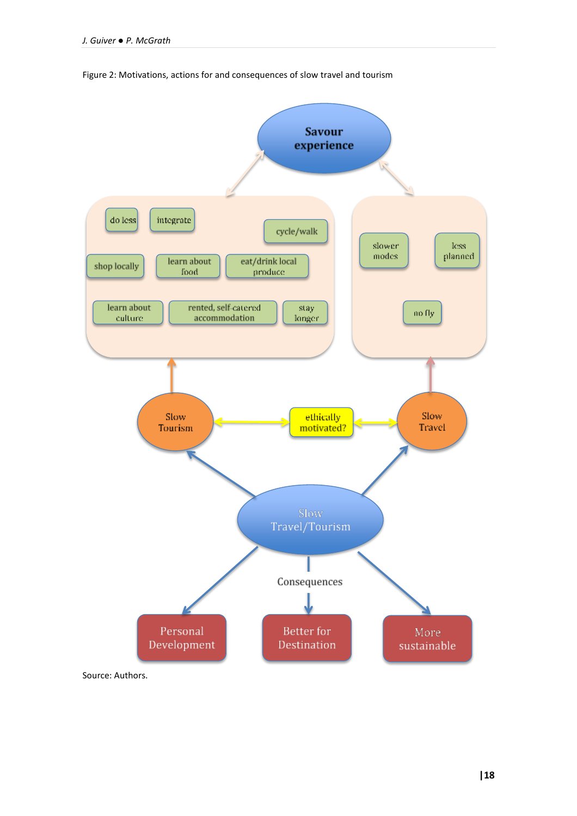

Figure 2: Motivations, actions for and consequences of slow travel and tourism

Source: Authors.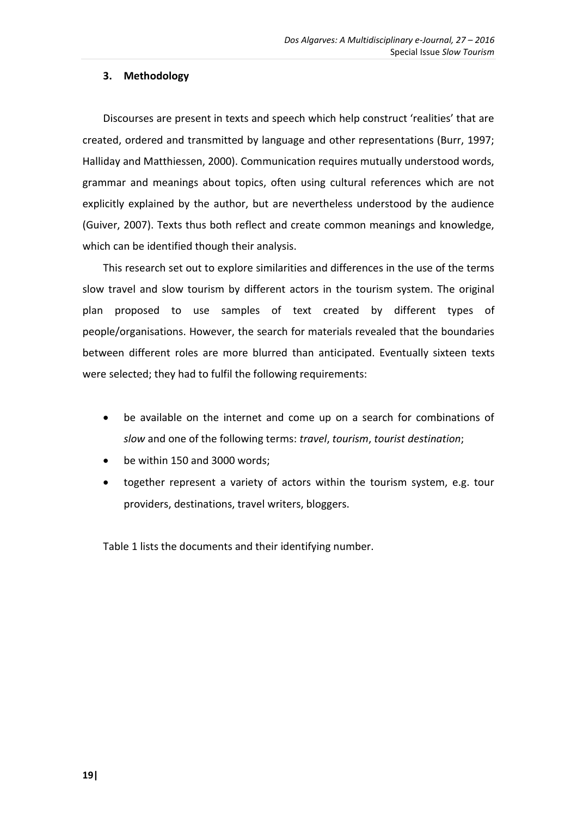# **3. Methodology**

Discourses are present in texts and speech which help construct 'realities' that are created, ordered and transmitted by language and other representations (Burr, 1997; Halliday and Matthiessen, 2000). Communication requires mutually understood words, grammar and meanings about topics, often using cultural references which are not explicitly explained by the author, but are nevertheless understood by the audience (Guiver, 2007). Texts thus both reflect and create common meanings and knowledge, which can be identified though their analysis.

This research set out to explore similarities and differences in the use of the terms slow travel and slow tourism by different actors in the tourism system. The original plan proposed to use samples of text created by different types of people/organisations. However, the search for materials revealed that the boundaries between different roles are more blurred than anticipated. Eventually sixteen texts were selected; they had to fulfil the following requirements:

- be available on the internet and come up on a search for combinations of *slow* and one of the following terms: *travel*, *tourism*, *tourist destination*;
- be within 150 and 3000 words;
- together represent a variety of actors within the tourism system, e.g. tour providers, destinations, travel writers, bloggers.

Table 1 lists the documents and their identifying number.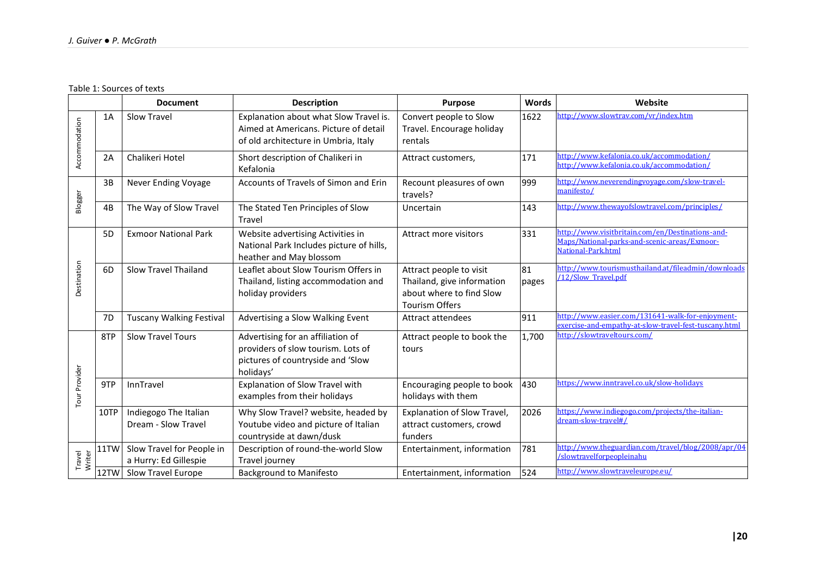Table 1: Sources of texts

|                  |                | <b>Document</b>                                    | <b>Description</b>                                                                                                        | <b>Purpose</b>                                                                                             | <b>Words</b> | Website                                                                                                                |  |  |  |  |  |  |
|------------------|----------------|----------------------------------------------------|---------------------------------------------------------------------------------------------------------------------------|------------------------------------------------------------------------------------------------------------|--------------|------------------------------------------------------------------------------------------------------------------------|--|--|--|--|--|--|
| Accommodation    | 1A             | Slow Travel                                        | Explanation about what Slow Travel is.<br>Aimed at Americans. Picture of detail<br>of old architecture in Umbria, Italy   | Convert people to Slow<br>Travel. Encourage holiday<br>rentals                                             | 1622         | http://www.slowtrav.com/vr/index.htm                                                                                   |  |  |  |  |  |  |
|                  | 2A             | Chalikeri Hotel                                    | Short description of Chalikeri in<br>Kefalonia                                                                            | Attract customers,                                                                                         | 171          | http://www.kefalonia.co.uk/accommodation/<br>http://www.kefalonia.co.uk/accommodation/                                 |  |  |  |  |  |  |
| Blogger          | 3B             | Never Ending Voyage                                | Accounts of Travels of Simon and Erin                                                                                     | Recount pleasures of own<br>travels?                                                                       | 999          | http://www.neverendingyovage.com/slow-travel-<br>manifesto/                                                            |  |  |  |  |  |  |
|                  | 4B             | The Way of Slow Travel                             | The Stated Ten Principles of Slow<br>Travel                                                                               | Uncertain                                                                                                  | 143          | http://www.thewayofslowtravel.com/principles/                                                                          |  |  |  |  |  |  |
|                  | 5 <sub>D</sub> | <b>Exmoor National Park</b>                        | Website advertising Activities in<br>National Park Includes picture of hills,<br>heather and May blossom                  | Attract more visitors                                                                                      | 331          | http://www.visitbritain.com/en/Destinations-and-<br>Maps/National-parks-and-scenic-areas/Exmoor-<br>National-Park.html |  |  |  |  |  |  |
| Destination      | 6D             | <b>Slow Travel Thailand</b>                        | Leaflet about Slow Tourism Offers in<br>Thailand, listing accommodation and<br>holiday providers                          | Attract people to visit<br>Thailand, give information<br>about where to find Slow<br><b>Tourism Offers</b> | 81<br>pages  | http://www.tourismusthailand.at/fileadmin/downloads<br>/12/Slow Travel.pdf                                             |  |  |  |  |  |  |
|                  | 7D             | <b>Tuscany Walking Festival</b>                    | Advertising a Slow Walking Event                                                                                          | Attract attendees                                                                                          | 911          | http://www.easier.com/131641-walk-for-enjoyment-<br>exercise-and-empathy-at-slow-travel-fest-tuscany.html              |  |  |  |  |  |  |
| Tour Provider    | 8TP            | <b>Slow Travel Tours</b>                           | Advertising for an affiliation of<br>providers of slow tourism. Lots of<br>pictures of countryside and 'Slow<br>holidays' | Attract people to book the<br>tours                                                                        | 1,700        | http://slowtraveltours.com/                                                                                            |  |  |  |  |  |  |
|                  | 9TP            | InnTravel                                          | Explanation of Slow Travel with<br>examples from their holidays                                                           | Encouraging people to book<br>holidays with them                                                           | 430          | https://www.inntravel.co.uk/slow-holidays                                                                              |  |  |  |  |  |  |
|                  | 10TP           | Indiegogo The Italian<br>Dream - Slow Travel       | Why Slow Travel? website, headed by<br>Youtube video and picture of Italian<br>countryside at dawn/dusk                   | Explanation of Slow Travel,<br>attract customers, crowd<br>funders                                         | 2026         | https://www.indiegogo.com/projects/the-italian-<br>dream-slow-travel#/                                                 |  |  |  |  |  |  |
| Travel<br>Writer | 11TW           | Slow Travel for People in<br>a Hurry: Ed Gillespie | Description of round-the-world Slow<br>Travel journey                                                                     | Entertainment, information                                                                                 | 781          | http://www.theguardian.com/travel/blog/2008/apr/04<br>/slowtravelforpeopleinahu                                        |  |  |  |  |  |  |
|                  | 12TW           | <b>Slow Travel Europe</b>                          | <b>Background to Manifesto</b>                                                                                            | Entertainment, information                                                                                 | 524          | http://www.slowtraveleurope.eu/                                                                                        |  |  |  |  |  |  |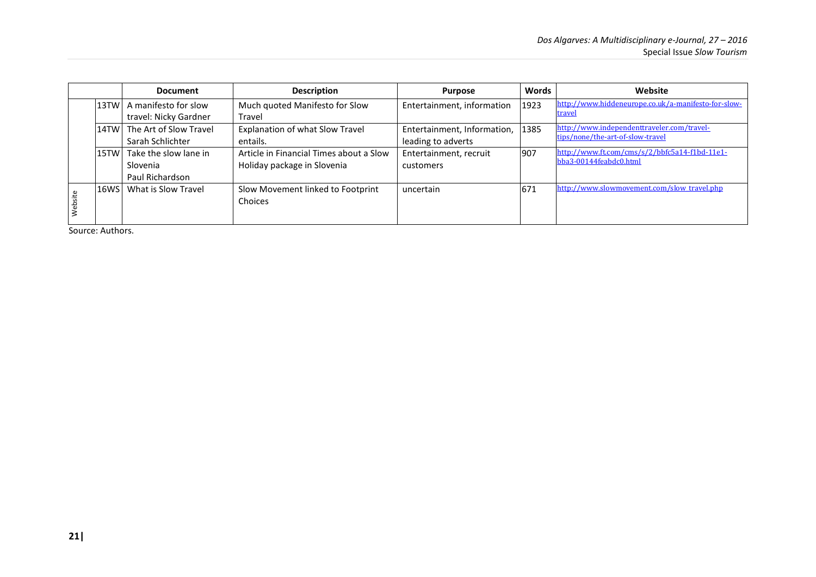|         |      | <b>Document</b>                                      | <b>Description</b>                                                     | <b>Purpose</b>                                         | Words | Website                                                                        |
|---------|------|------------------------------------------------------|------------------------------------------------------------------------|--------------------------------------------------------|-------|--------------------------------------------------------------------------------|
|         |      | 13TW  A manifesto for slow<br>travel: Nicky Gardner  | Much quoted Manifesto for Slow<br>Travel                               | Entertainment, information                             | 1923  | http://www.hiddeneurope.co.uk/a-manifesto-for-slow-<br>travel                  |
|         |      | 14TW The Art of Slow Travel<br>Sarah Schlichter      | Explanation of what Slow Travel<br>entails.                            | Entertainment, Information, 1385<br>leading to adverts |       | http://www.independenttraveler.com/travel-<br>tips/none/the-art-of-slow-travel |
|         | 15TW | Take the slow lane in<br>Slovenia<br>Paul Richardson | Article in Financial Times about a Slow<br>Holiday package in Slovenia | Entertainment, recruit<br>customers                    | 907   | http://www.ft.com/cms/s/2/bbfc5a14-f1bd-11e1-<br>bba3-00144feabdc0.html        |
| Website | 16WS | What is Slow Travel                                  | Slow Movement linked to Footprint<br>Choices                           | uncertain                                              | 671   | http://www.slowmovement.com/slow_travel.php                                    |

Source: Authors.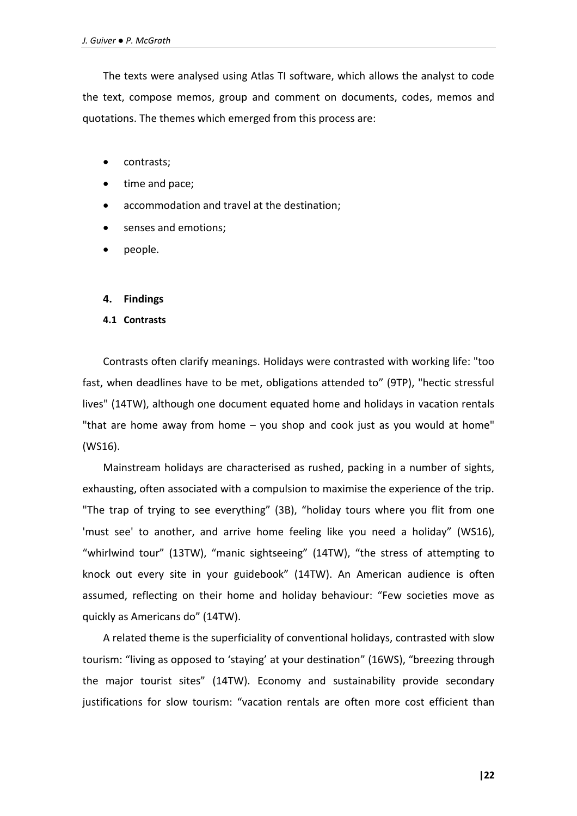The texts were analysed using Atlas TI software, which allows the analyst to code the text, compose memos, group and comment on documents, codes, memos and quotations. The themes which emerged from this process are:

- contrasts;
- time and pace;
- accommodation and travel at the destination;
- senses and emotions;
- people.

## **4. Findings**

## **4.1 Contrasts**

Contrasts often clarify meanings. Holidays were contrasted with working life: "too fast, when deadlines have to be met, obligations attended to" (9TP), "hectic stressful lives" (14TW), although one document equated home and holidays in vacation rentals "that are home away from home – you shop and cook just as you would at home" (WS16).

Mainstream holidays are characterised as rushed, packing in a number of sights, exhausting, often associated with a compulsion to maximise the experience of the trip. "The trap of trying to see everything" (3B), "holiday tours where you flit from one 'must see' to another, and arrive home feeling like you need a holiday" (WS16), "whirlwind tour" (13TW), "manic sightseeing" (14TW), "the stress of attempting to knock out every site in your guidebook" (14TW). An American audience is often assumed, reflecting on their home and holiday behaviour: "Few societies move as quickly as Americans do" (14TW).

A related theme is the superficiality of conventional holidays, contrasted with slow tourism: "living as opposed to 'staying' at your destination" (16WS), "breezing through the major tourist sites" (14TW). Economy and sustainability provide secondary justifications for slow tourism: "vacation rentals are often more cost efficient than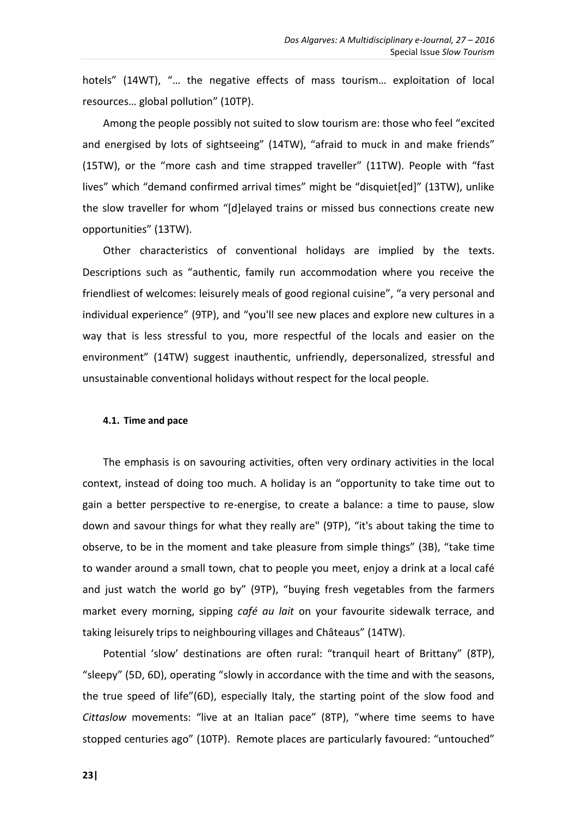hotels" (14WT), "… the negative effects of mass tourism… exploitation of local resources… global pollution" (10TP).

Among the people possibly not suited to slow tourism are: those who feel "excited and energised by lots of sightseeing" (14TW), "afraid to muck in and make friends" (15TW), or the "more cash and time strapped traveller" (11TW). People with "fast lives" which "demand confirmed arrival times" might be "disquiet[ed]" (13TW), unlike the slow traveller for whom "[d]elayed trains or missed bus connections create new opportunities" (13TW).

Other characteristics of conventional holidays are implied by the texts. Descriptions such as "authentic, family run accommodation where you receive the friendliest of welcomes: leisurely meals of good regional cuisine", "a very personal and individual experience" (9TP), and "you'll see new places and explore new cultures in a way that is less stressful to you, more respectful of the locals and easier on the environment" (14TW) suggest inauthentic, unfriendly, depersonalized, stressful and unsustainable conventional holidays without respect for the local people.

## **4.1. Time and pace**

The emphasis is on savouring activities, often very ordinary activities in the local context, instead of doing too much. A holiday is an "opportunity to take time out to gain a better perspective to re-energise, to create a balance: a time to pause, slow down and savour things for what they really are" (9TP), "it's about taking the time to observe, to be in the moment and take pleasure from simple things" (3B), "take time to wander around a small town, chat to people you meet, enjoy a drink at a local café and just watch the world go by" (9TP), "buying fresh vegetables from the farmers market every morning, sipping *café au lait* on your favourite sidewalk terrace, and taking leisurely trips to neighbouring villages and Châteaus" (14TW).

Potential 'slow' destinations are often rural: "tranquil heart of Brittany" (8TP), "sleepy" (5D, 6D), operating "slowly in accordance with the time and with the seasons, the true speed of life"(6D), especially Italy, the starting point of the slow food and *Cittaslow* movements: "live at an Italian pace" (8TP), "where time seems to have stopped centuries ago" (10TP). Remote places are particularly favoured: "untouched"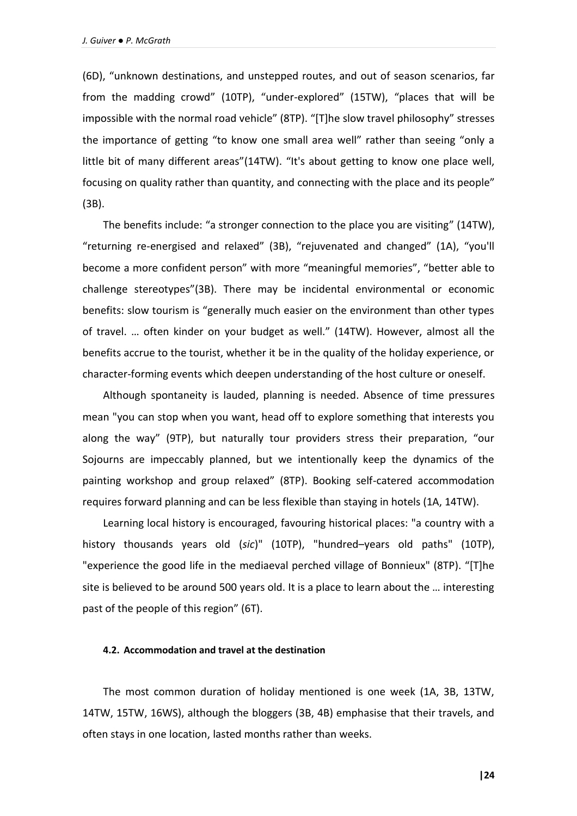(6D), "unknown destinations, and unstepped routes, and out of season scenarios, far from the madding crowd" (10TP), "under-explored" (15TW), "places that will be impossible with the normal road vehicle" (8TP). "[T]he slow travel philosophy" stresses the importance of getting "to know one small area well" rather than seeing "only a little bit of many different areas"(14TW). "It's about getting to know one place well, focusing on quality rather than quantity, and connecting with the place and its people" (3B).

The benefits include: "a stronger connection to the place you are visiting" (14TW), "returning re-energised and relaxed" (3B), "rejuvenated and changed" (1A), "you'll become a more confident person" with more "meaningful memories", "better able to challenge stereotypes"(3B). There may be incidental environmental or economic benefits: slow tourism is "generally much easier on the environment than other types of travel. … often kinder on your budget as well." (14TW). However, almost all the benefits accrue to the tourist, whether it be in the quality of the holiday experience, or character-forming events which deepen understanding of the host culture or oneself.

Although spontaneity is lauded, planning is needed. Absence of time pressures mean "you can stop when you want, head off to explore something that interests you along the way" (9TP), but naturally tour providers stress their preparation, "our Sojourns are impeccably planned, but we intentionally keep the dynamics of the painting workshop and group relaxed" (8TP). Booking self-catered accommodation requires forward planning and can be less flexible than staying in hotels (1A, 14TW).

Learning local history is encouraged, favouring historical places: "a country with a history thousands years old (*sic*)" (10TP), "hundred–years old paths" (10TP), "experience the good life in the mediaeval perched village of Bonnieux" (8TP). "[T]he site is believed to be around 500 years old. It is a place to learn about the … interesting past of the people of this region" (6T).

## **4.2. Accommodation and travel at the destination**

The most common duration of holiday mentioned is one week (1A, 3B, 13TW, 14TW, 15TW, 16WS), although the bloggers (3B, 4B) emphasise that their travels, and often stays in one location, lasted months rather than weeks.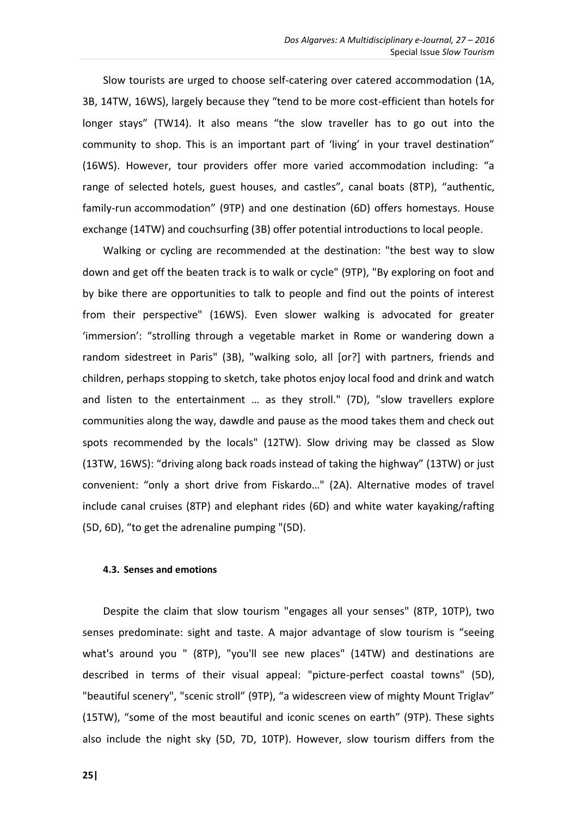Slow tourists are urged to choose self-catering over catered accommodation (1A, 3B, 14TW, 16WS), largely because they "tend to be more cost-efficient than hotels for longer stays" (TW14). It also means "the slow traveller has to go out into the community to shop. This is an important part of 'living' in your travel destination" (16WS). However, tour providers offer more varied accommodation including: "a range of selected hotels, guest houses, and castles", canal boats (8TP), "authentic, family-run accommodation" (9TP) and one destination (6D) offers homestays. House exchange (14TW) and couchsurfing (3B) offer potential introductions to local people.

Walking or cycling are recommended at the destination: "the best way to slow down and get off the beaten track is to walk or cycle" (9TP), "By exploring on foot and by bike there are opportunities to talk to people and find out the points of interest from their perspective" (16WS). Even slower walking is advocated for greater 'immersion': "strolling through a vegetable market in Rome or wandering down a random sidestreet in Paris" (3B), "walking solo, all [or?] with partners, friends and children, perhaps stopping to sketch, take photos enjoy local food and drink and watch and listen to the entertainment … as they stroll." (7D), "slow travellers explore communities along the way, dawdle and pause as the mood takes them and check out spots recommended by the locals" (12TW). Slow driving may be classed as Slow (13TW, 16WS): "driving along back roads instead of taking the highway" (13TW) or just convenient: "only a short drive from Fiskardo…" (2A). Alternative modes of travel include canal cruises (8TP) and elephant rides (6D) and white water kayaking/rafting (5D, 6D), "to get the adrenaline pumping "(5D).

# **4.3. Senses and emotions**

Despite the claim that slow tourism "engages all your senses" (8TP, 10TP), two senses predominate: sight and taste. A major advantage of slow tourism is "seeing what's around you " (8TP), "you'll see new places" (14TW) and destinations are described in terms of their visual appeal: "picture-perfect coastal towns" (5D), "beautiful scenery", "scenic stroll" (9TP), "a widescreen view of mighty Mount Triglav" (15TW), "some of the most beautiful and iconic scenes on earth" (9TP). These sights also include the night sky (5D, 7D, 10TP). However, slow tourism differs from the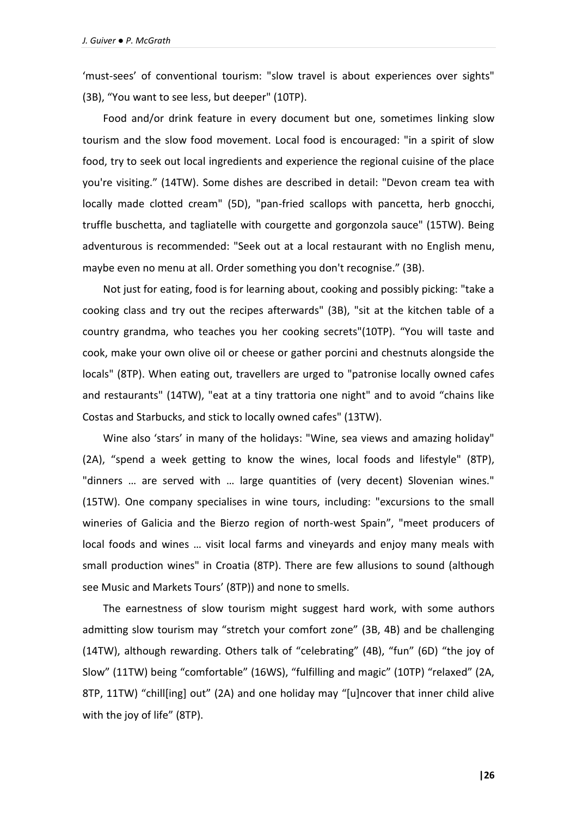'must-sees' of conventional tourism: "slow travel is about experiences over sights" (3B), "You want to see less, but deeper" (10TP).

Food and/or drink feature in every document but one, sometimes linking slow tourism and the slow food movement. Local food is encouraged: "in a spirit of slow food, try to seek out local ingredients and experience the regional cuisine of the place you're visiting." (14TW). Some dishes are described in detail: "Devon cream tea with locally made clotted cream" (5D), "pan-fried scallops with pancetta, herb gnocchi, truffle buschetta, and tagliatelle with courgette and gorgonzola sauce" (15TW). Being adventurous is recommended: "Seek out at a local restaurant with no English menu, maybe even no menu at all. Order something you don't recognise." (3B).

Not just for eating, food is for learning about, cooking and possibly picking: "take a cooking class and try out the recipes afterwards" (3B), "sit at the kitchen table of a country grandma, who teaches you her cooking secrets"(10TP). "You will taste and cook, make your own olive oil or cheese or gather porcini and chestnuts alongside the locals" (8TP). When eating out, travellers are urged to "patronise locally owned cafes and restaurants" (14TW), "eat at a tiny trattoria one night" and to avoid "chains like Costas and Starbucks, and stick to locally owned cafes" (13TW).

Wine also 'stars' in many of the holidays: "Wine, sea views and amazing holiday" (2A), "spend a week getting to know the wines, local foods and lifestyle" (8TP), "dinners … are served with … large quantities of (very decent) Slovenian wines." (15TW). One company specialises in wine tours, including: "excursions to the small wineries of Galicia and the Bierzo region of north-west Spain", "meet producers of local foods and wines … visit local farms and vineyards and enjoy many meals with small production wines" in Croatia (8TP). There are few allusions to sound (although see Music and Markets Tours' (8TP)) and none to smells.

The earnestness of slow tourism might suggest hard work, with some authors admitting slow tourism may "stretch your comfort zone" (3B, 4B) and be challenging (14TW), although rewarding. Others talk of "celebrating" (4B), "fun" (6D) "the joy of Slow" (11TW) being "comfortable" (16WS), "fulfilling and magic" (10TP) "relaxed" (2A, 8TP, 11TW) "chill[ing] out" (2A) and one holiday may "[u]ncover that inner child alive with the joy of life" (8TP).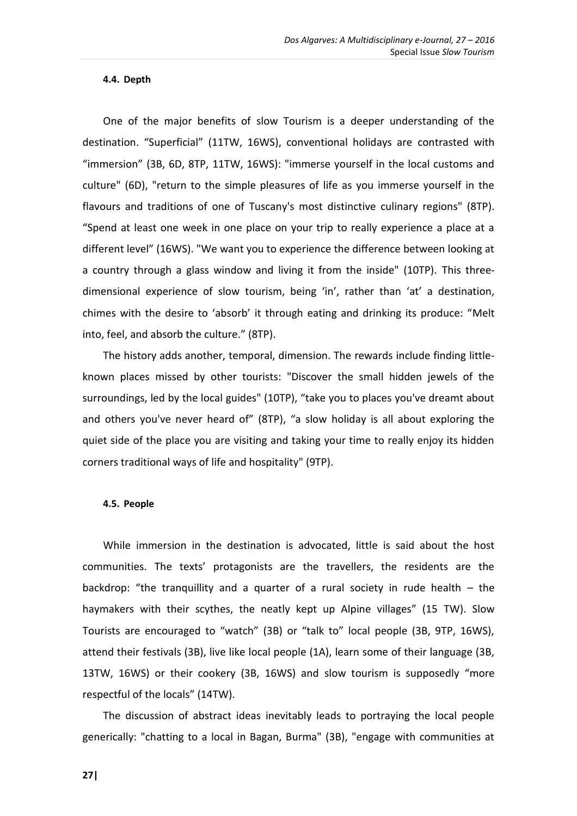## **4.4. Depth**

One of the major benefits of slow Tourism is a deeper understanding of the destination. "Superficial" (11TW, 16WS), conventional holidays are contrasted with "immersion" (3B, 6D, 8TP, 11TW, 16WS): "immerse yourself in the local customs and culture" (6D), "return to the simple pleasures of life as you immerse yourself in the flavours and traditions of one of Tuscany's most distinctive culinary regions" (8TP). "Spend at least one week in one place on your trip to really experience a place at a different level" (16WS). "We want you to experience the difference between looking at a country through a glass window and living it from the inside" (10TP). This threedimensional experience of slow tourism, being 'in', rather than 'at' a destination, chimes with the desire to 'absorb' it through eating and drinking its produce: "Melt into, feel, and absorb the culture." (8TP).

The history adds another, temporal, dimension. The rewards include finding littleknown places missed by other tourists: "Discover the small hidden jewels of the surroundings, led by the local guides" (10TP), "take you to places you've dreamt about and others you've never heard of" (8TP), "a slow holiday is all about exploring the quiet side of the place you are visiting and taking your time to really enjoy its hidden corners traditional ways of life and hospitality" (9TP).

#### **4.5. People**

While immersion in the destination is advocated, little is said about the host communities. The texts' protagonists are the travellers, the residents are the backdrop: "the tranquillity and a quarter of a rural society in rude health – the haymakers with their scythes, the neatly kept up Alpine villages" (15 TW). Slow Tourists are encouraged to "watch" (3B) or "talk to" local people (3B, 9TP, 16WS), attend their festivals (3B), live like local people (1A), learn some of their language (3B, 13TW, 16WS) or their cookery (3B, 16WS) and slow tourism is supposedly "more respectful of the locals" (14TW).

The discussion of abstract ideas inevitably leads to portraying the local people generically: "chatting to a local in Bagan, Burma" (3B), "engage with communities at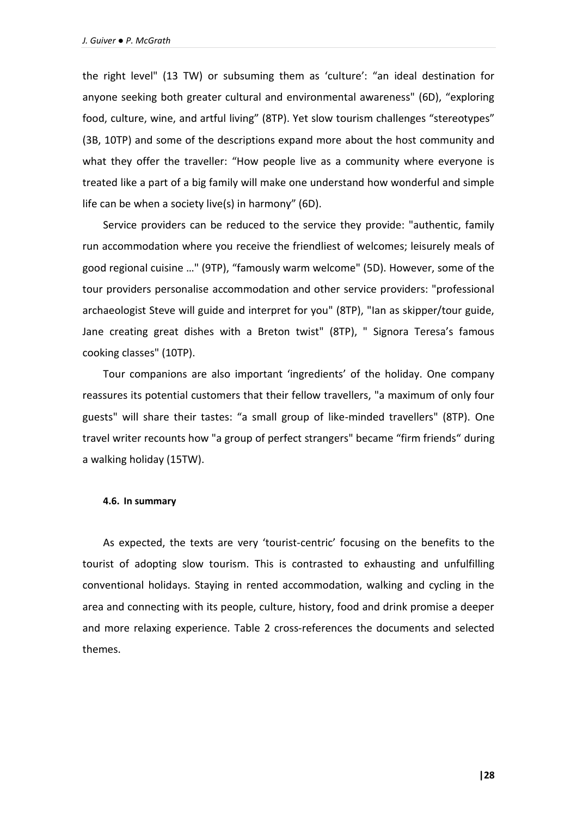the right level" (13 TW) or subsuming them as 'culture': "an ideal destination for anyone seeking both greater cultural and environmental awareness" (6D), "exploring food, culture, wine, and artful living" (8TP). Yet slow tourism challenges "stereotypes" (3B, 10TP) and some of the descriptions expand more about the host community and what they offer the traveller: "How people live as a community where everyone is treated like a part of a big family will make one understand how wonderful and simple life can be when a society live(s) in harmony" (6D).

Service providers can be reduced to the service they provide: "authentic, family run accommodation where you receive the friendliest of welcomes; leisurely meals of good regional cuisine …" (9TP), "famously warm welcome" (5D). However, some of the tour providers personalise accommodation and other service providers: "professional archaeologist Steve will guide and interpret for you" (8TP), "Ian as skipper/tour guide, Jane creating great dishes with a Breton twist" (8TP), " Signora Teresa's famous cooking classes" (10TP).

Tour companions are also important 'ingredients' of the holiday. One company reassures its potential customers that their fellow travellers, "a maximum of only four guests" will share their tastes: "a small group of like-minded travellers" (8TP). One travel writer recounts how "a group of perfect strangers" became "firm friends" during a walking holiday (15TW).

#### **4.6. In summary**

As expected, the texts are very 'tourist-centric' focusing on the benefits to the tourist of adopting slow tourism. This is contrasted to exhausting and unfulfilling conventional holidays. Staying in rented accommodation, walking and cycling in the area and connecting with its people, culture, history, food and drink promise a deeper and more relaxing experience. Table 2 cross-references the documents and selected themes.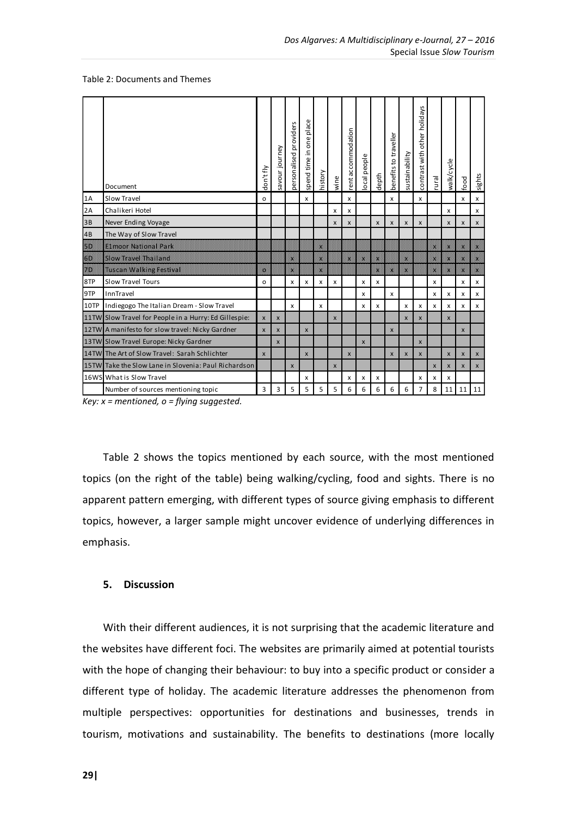#### Table 2: Documents and Themes

|                                                                                                                                                                                                                                 | Document                                              | don't fly                 | savour journey     | personalised providers | place<br>one<br>spend time in | history | wine           | rent accommodation        | ocal people | depth | benefits to traveller | sustainability | other holidays<br>contrast with | rural              | walk/cycle | food           | sights |
|---------------------------------------------------------------------------------------------------------------------------------------------------------------------------------------------------------------------------------|-------------------------------------------------------|---------------------------|--------------------|------------------------|-------------------------------|---------|----------------|---------------------------|-------------|-------|-----------------------|----------------|---------------------------------|--------------------|------------|----------------|--------|
| 1A                                                                                                                                                                                                                              | Slow Travel                                           |                           |                    |                        | x                             |         |                | x                         |             |       | x                     |                | x                               |                    |            | x              | x      |
| 2A                                                                                                                                                                                                                              | Chalikeri Hotel                                       |                           |                    |                        |                               |         | x              | x                         |             |       |                       |                |                                 |                    | x          |                | x      |
| 3B                                                                                                                                                                                                                              | Never Ending Voyage                                   |                           |                    |                        |                               |         | X              | $\pmb{\times}$            |             | X     | $\pmb{\times}$        | X              | $\pmb{\times}$                  |                    | X          | $\pmb{\times}$ | x      |
| 4B                                                                                                                                                                                                                              | The Way of Slow Travel                                |                           |                    |                        |                               |         |                |                           |             |       |                       |                |                                 |                    |            |                |        |
| SD.                                                                                                                                                                                                                             | E1moor National Park                                  |                           |                    |                        |                               |         |                |                           |             |       |                       |                |                                 |                    |            |                | M      |
| en de la consegna de la consegna de la consegna de la consegna de la consegna de la consegna de la consegna d<br>Especies de la consegna de la consegna de la consegna de la consegna de la consegna de la consegna de la conse | Slow Tave Thailand                                    |                           |                    |                        |                               |         |                |                           |             |       |                       |                |                                 |                    |            |                |        |
| ZD.                                                                                                                                                                                                                             | Tuscan Walking Festival                               | o                         |                    |                        |                               | 籱       |                |                           |             |       |                       |                |                                 |                    |            | K              |        |
| 8TP                                                                                                                                                                                                                             | Slow Travel Tours                                     | o                         |                    | x                      | x                             | x       | x              |                           | x           | x     |                       |                |                                 | x                  |            | x              | x      |
| 9TP                                                                                                                                                                                                                             | InnTravel                                             |                           |                    |                        |                               |         |                |                           | x           |       | x                     |                |                                 | x                  | x          | x              | x      |
| 10TP                                                                                                                                                                                                                            | Indiegogo The Italian Dream - Slow Travel             |                           |                    | x                      |                               | x       |                |                           | x           | x     |                       | x              | x                               | x                  | x          | x              | x      |
|                                                                                                                                                                                                                                 | 11TW Slow Travel for People in a Hurry: Ed Gillespie: | $\boldsymbol{\mathsf{x}}$ | $\pmb{\times}$     |                        |                               |         | $\pmb{\times}$ |                           |             |       |                       | $\pmb{\times}$ | X                               |                    | X          |                |        |
|                                                                                                                                                                                                                                 | 12TW A manifesto for slow travel: Nicky Gardner       | $\mathsf{x}$              | $\pmb{\times}$     |                        | $\pmb{\times}$                |         |                |                           |             |       | X                     |                |                                 |                    |            | $\pmb{\times}$ |        |
|                                                                                                                                                                                                                                 | 13TW Slow Travel Europe: Nicky Gardner                |                           | $\pmb{\mathsf{x}}$ |                        |                               |         |                |                           | X           |       |                       |                | X                               |                    |            |                |        |
|                                                                                                                                                                                                                                 | 14TW The Art of Slow Travel: Sarah Schlichter         | $\mathsf{x}$              |                    |                        | $\boldsymbol{\mathsf{x}}$     |         |                | $\boldsymbol{\mathsf{x}}$ |             |       | X                     | $\pmb{\times}$ | X                               |                    | X          | $\pmb{\times}$ | X      |
|                                                                                                                                                                                                                                 | 15TW Take the Slow Lane in Slovenia: Paul Richardson  |                           |                    | $\mathsf{x}$           |                               |         | $\mathsf{x}$   |                           |             |       |                       |                |                                 | $\pmb{\mathsf{X}}$ | x          | $\mathsf{x}$   | X      |
|                                                                                                                                                                                                                                 | 16WS What is Slow Travel                              |                           |                    |                        | x                             |         |                | x                         | x           | x     |                       |                | x                               | x                  | x          |                |        |
|                                                                                                                                                                                                                                 | Number of sources mentioning topic                    | 3                         | 3                  | 5                      | 5                             | 5       | 5              | 6                         | 6           | 6     | 6                     | 6              | 7                               | 8                  | 11         | 11             | 11     |
| Key: $x =$ mentioned, $o =$ flying suggested.                                                                                                                                                                                   |                                                       |                           |                    |                        |                               |         |                |                           |             |       |                       |                |                                 |                    |            |                |        |

*Key: x = mentioned, o = flying suggested.*

Table 2 shows the topics mentioned by each source, with the most mentioned topics (on the right of the table) being walking/cycling, food and sights. There is no apparent pattern emerging, with different types of source giving emphasis to different topics, however, a larger sample might uncover evidence of underlying differences in emphasis.

## **5. Discussion**

With their different audiences, it is not surprising that the academic literature and the websites have different foci. The websites are primarily aimed at potential tourists with the hope of changing their behaviour: to buy into a specific product or consider a different type of holiday. The academic literature addresses the phenomenon from multiple perspectives: opportunities for destinations and businesses, trends in tourism, motivations and sustainability. The benefits to destinations (more locally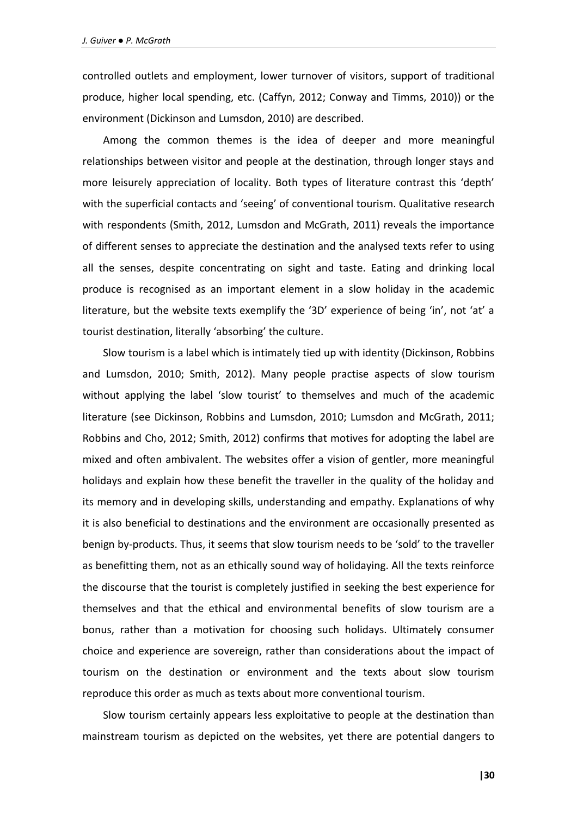controlled outlets and employment, lower turnover of visitors, support of traditional produce, higher local spending, etc. (Caffyn, 2012; Conway and Timms, 2010)) or the environment (Dickinson and Lumsdon, 2010) are described.

Among the common themes is the idea of deeper and more meaningful relationships between visitor and people at the destination, through longer stays and more leisurely appreciation of locality. Both types of literature contrast this 'depth' with the superficial contacts and 'seeing' of conventional tourism. Qualitative research with respondents (Smith, 2012, Lumsdon and McGrath, 2011) reveals the importance of different senses to appreciate the destination and the analysed texts refer to using all the senses, despite concentrating on sight and taste. Eating and drinking local produce is recognised as an important element in a slow holiday in the academic literature, but the website texts exemplify the '3D' experience of being 'in', not 'at' a tourist destination, literally 'absorbing' the culture.

Slow tourism is a label which is intimately tied up with identity (Dickinson, Robbins and Lumsdon, 2010; Smith, 2012). Many people practise aspects of slow tourism without applying the label 'slow tourist' to themselves and much of the academic literature (see Dickinson, Robbins and Lumsdon, 2010; Lumsdon and McGrath, 2011; Robbins and Cho, 2012; Smith, 2012) confirms that motives for adopting the label are mixed and often ambivalent. The websites offer a vision of gentler, more meaningful holidays and explain how these benefit the traveller in the quality of the holiday and its memory and in developing skills, understanding and empathy. Explanations of why it is also beneficial to destinations and the environment are occasionally presented as benign by-products. Thus, it seems that slow tourism needs to be 'sold' to the traveller as benefitting them, not as an ethically sound way of holidaying. All the texts reinforce the discourse that the tourist is completely justified in seeking the best experience for themselves and that the ethical and environmental benefits of slow tourism are a bonus, rather than a motivation for choosing such holidays. Ultimately consumer choice and experience are sovereign, rather than considerations about the impact of tourism on the destination or environment and the texts about slow tourism reproduce this order as much as texts about more conventional tourism.

Slow tourism certainly appears less exploitative to people at the destination than mainstream tourism as depicted on the websites, yet there are potential dangers to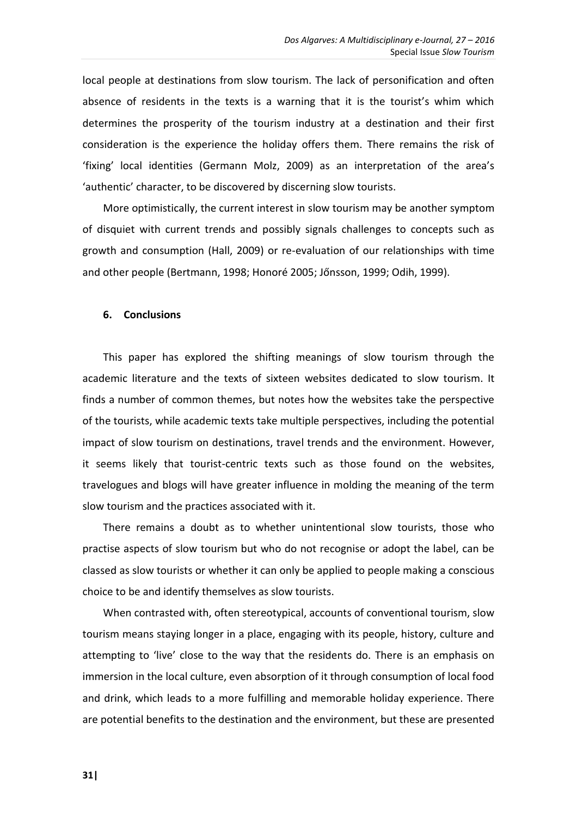local people at destinations from slow tourism. The lack of personification and often absence of residents in the texts is a warning that it is the tourist's whim which determines the prosperity of the tourism industry at a destination and their first consideration is the experience the holiday offers them. There remains the risk of 'fixing' local identities (Germann Molz, 2009) as an interpretation of the area's 'authentic' character, to be discovered by discerning slow tourists.

More optimistically, the current interest in slow tourism may be another symptom of disquiet with current trends and possibly signals challenges to concepts such as growth and consumption (Hall, 2009) or re-evaluation of our relationships with time and other people (Bertmann, 1998; Honoré 2005; Jőnsson, 1999; Odih, 1999).

# **6. Conclusions**

This paper has explored the shifting meanings of slow tourism through the academic literature and the texts of sixteen websites dedicated to slow tourism. It finds a number of common themes, but notes how the websites take the perspective of the tourists, while academic texts take multiple perspectives, including the potential impact of slow tourism on destinations, travel trends and the environment. However, it seems likely that tourist-centric texts such as those found on the websites, travelogues and blogs will have greater influence in molding the meaning of the term slow tourism and the practices associated with it.

There remains a doubt as to whether unintentional slow tourists, those who practise aspects of slow tourism but who do not recognise or adopt the label, can be classed as slow tourists or whether it can only be applied to people making a conscious choice to be and identify themselves as slow tourists.

When contrasted with, often stereotypical, accounts of conventional tourism, slow tourism means staying longer in a place, engaging with its people, history, culture and attempting to 'live' close to the way that the residents do. There is an emphasis on immersion in the local culture, even absorption of it through consumption of local food and drink, which leads to a more fulfilling and memorable holiday experience. There are potential benefits to the destination and the environment, but these are presented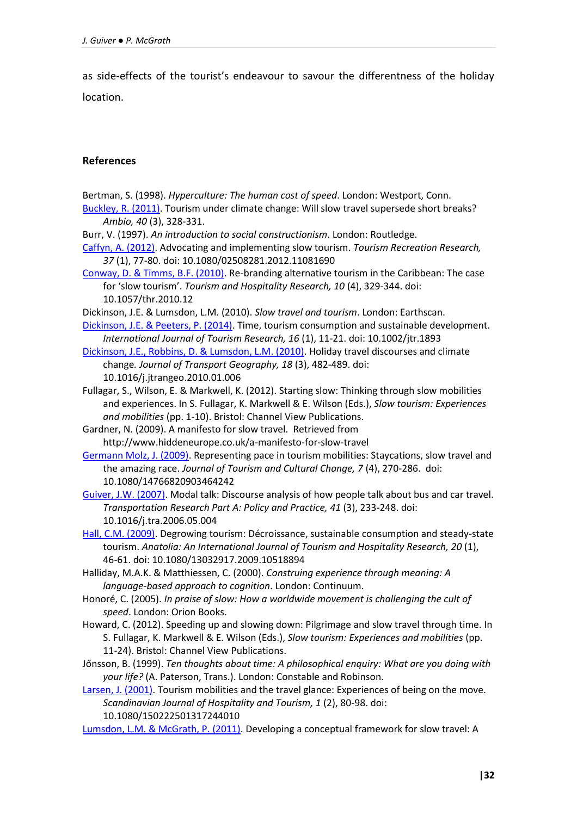as side-effects of the tourist's endeavour to savour the differentness of the holiday location.

# **References**

- Bertman, S. (1998). *Hyperculture: The human cost of speed*. London: Westport, Conn. [Buckley, R. \(2011\).](http://link.springer.com/article/10.1007/s13280-010-0100-x) Tourism under climate change: Will slow travel supersede short breaks? *Ambio, 40* (3), 328-331.
- Burr, V. (1997). *An introduction to social constructionism*. London: Routledge.
- [Caffyn, A. \(2012\).](http://www.tandfonline.com/doi/abs/10.1080/02508281.2012.11081690?journalCode=rtrr20) Advocating and implementing slow tourism. *Tourism Recreation Research, 37* (1), 77-80. doi: 10.1080/02508281.2012.11081690
- [Conway, D. & Timms, B.F. \(2010\).](http://thr.sagepub.com/content/10/4/329.short) Re-branding alternative tourism in the Caribbean: The case for 'slow tourism'. *Tourism and Hospitality Research, 10* (4), 329-344. doi: 10.1057/thr.2010.12
- Dickinson, J.E. & Lumsdon, L.M. (2010). *Slow travel and tourism*. London: Earthscan.
- [Dickinson, J.E. & Peeters, P. \(2014\).](http://onlinelibrary.wiley.com/doi/10.1002/jtr.1893/abstract) Time, tourism consumption and sustainable development. *International Journal of Tourism Research, 16* (1), 11-21. doi: 10.1002/jtr.1893
- [Dickinson, J.E., Robbins, D. & Lumsdon, L.M.](http://www.sciencedirect.com/science/article/pii/S0966692310000086) (2010). Holiday travel discourses and climate change*. Journal of Transport Geography, 18* (3), 482-489. doi: 10.1016/j.jtrangeo.2010.01.006
- Fullagar, S., Wilson, E. & Markwell, K. (2012). Starting slow: Thinking through slow mobilities and experiences. In S. Fullagar, K. Markwell & E. Wilson (Eds.), *Slow tourism: Experiences and mobilities* (pp. 1-10). Bristol: Channel View Publications.
- Gardner, N. (2009). A manifesto for slow travel. Retrieved from http://www.hiddeneurope.co.uk/a-manifesto-for-slow-travel
- [Germann Molz, J. \(2009\).](http://www.tandfonline.com/doi/abs/10.1080/14766820903464242) Representing pace in tourism mobilities: Staycations, slow travel and the amazing race. *Journal of Tourism and Cultural Change, 7* (4), 270-286. doi: 10.1080/14766820903464242
- [Guiver, J.W. \(2007\).](http://www.sciencedirect.com/science/article/pii/S0965856406000565) Modal talk: Discourse analysis of how people talk about bus and car travel. *Transportation Research Part A: Policy and Practice, 41* (3), 233-248. doi: 10.1016/j.tra.2006.05.004
- [Hall, C.M. \(2009\).](http://www.tandfonline.com/doi/abs/10.1080/13032917.2009.10518894) Degrowing tourism: Décroissance, sustainable consumption and steady-state tourism. *Anatolia: An International Journal of Tourism and Hospitality Research, 20* (1), 46-61. doi: 10.1080/13032917.2009.10518894
- Halliday, M.A.K. & Matthiessen, C. (2000). *Construing experience through meaning: A language-based approach to cognition*. London: Continuum.
- Honoré, C. (2005). *In praise of slow: How a worldwide movement is challenging the cult of speed*. London: Orion Books.
- Howard, C. (2012). Speeding up and slowing down: Pilgrimage and slow travel through time. In S. Fullagar, K. Markwell & E. Wilson (Eds.), *Slow tourism: Experiences and mobilities* (pp. 11-24). Bristol: Channel View Publications.
- Jőnsson, B. (1999). *Ten thoughts about time: A philosophical enquiry: What are you doing with your life?* (A. Paterson, Trans.). London: Constable and Robinson.
- [Larsen, J. \(2001\).](http://www.tandfonline.com/doi/abs/10.1080/09669582.2010.519438) Tourism mobilities and the travel glance: Experiences of being on the move. *Scandinavian Journal of Hospitality and Tourism, 1* (2), 80-98. doi: 10.1080/150222501317244010

[Lumsdon, L.M. & McGrath, P. \(2011\).](http://www.tandfonline.com/doi/abs/10.1080/09669582.2010.519438) Developing a conceptual framework for slow travel: A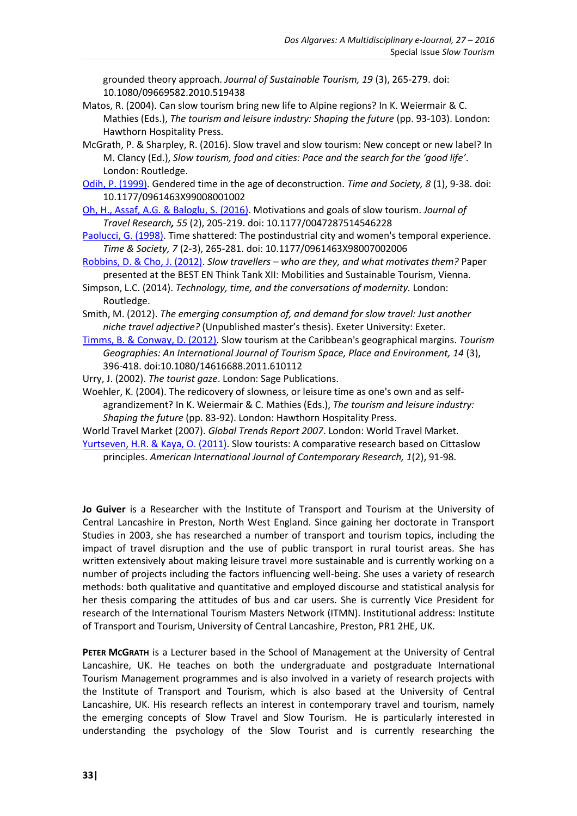grounded theory approach. *Journal of Sustainable Tourism, 19* (3), 265-279. doi: 10.1080/09669582.2010.519438

- Matos, R. (2004). Can slow tourism bring new life to Alpine regions? In K. Weiermair & C. Mathies (Eds.), *The tourism and leisure industry: Shaping the future* (pp. 93-103). London: Hawthorn Hospitality Press.
- McGrath, P. & Sharpley, R. (2016). Slow travel and slow tourism: New concept or new label? In M. Clancy (Ed.), *Slow tourism, food and cities: Pace and the search for the 'good life'*. London: Routledge.
- [Odih, P. \(1999\).](http://tas.sagepub.com/content/8/1/9.short) Gendered time in the age of deconstruction. *Time and Society, 8* (1), 9-38. doi: 10.1177/0961463X99008001002
- [Oh, H., Assaf, A.G. & Baloglu, S. \(2016\).](http://jtr.sagepub.com/content/55/2/205.short) Motivations and goals of slow tourism. *Journal of Travel Research, 55* (2), 205-219. doi: 10.1177/0047287514546228
- [Paolucci, G. \(1998\).](http://tas.sagepub.com/content/7/2-3/265.short) Time shattered: The postindustrial city and women's temporal experience. *Time & Society, 7* (2-3), 265-281. doi: 10.1177/0961463X98007002006
- [Robbins, D. & Cho, J. \(2012\).](http://www.besteducationnetwork.org/TTXII_Proceedings) *Slow travellers – who are they, and what motivates them?* Paper presented at the BEST EN Think Tank XII: Mobilities and Sustainable Tourism, Vienna.
- Simpson, L.C. (2014). *Technology, time, and the conversations of modernity.* London: Routledge.
- Smith, M. (2012). *The emerging consumption of, and demand for slow travel: Just another niche travel adjective?* (Unpublished master's thesis). Exeter University: Exeter.
- [Timms, B. & Conway, D. \(2012\).](http://www.tandfonline.com/doi/abs/10.1080/14616688.2011.610112) Slow tourism at the Caribbean's geographical margins. *Tourism Geographies: An International Journal of Tourism Space, Place and Environment, 14* (3), 396-418. doi:10.1080/14616688.2011.610112
- Urry, J. (2002). *The tourist gaze*. London: Sage Publications.
- Woehler, K. (2004). The redicovery of slowness, or leisure time as one's own and as selfagrandizement? In K. Weiermair & C. Mathies (Eds.), *The tourism and leisure industry: Shaping the future* (pp. 83-92). London: Hawthorn Hospitality Press.

World Travel Market (2007). *Global Trends Report 2007*. London: World Travel Market. [Yurtseven, H.R. & Kaya, O. \(2011\).](http://www.aijcrnet.com/journal/index/39) Slow tourists: A comparative research based on Cittaslow principles. *American International Journal of Contemporary Research, 1*(2), 91-98.

**Jo Guiver** is a Researcher with the Institute of Transport and Tourism at the University of Central Lancashire in Preston, North West England. Since gaining her doctorate in Transport Studies in 2003, she has researched a number of transport and tourism topics, including the impact of travel disruption and the use of public transport in rural tourist areas. She has written extensively about making leisure travel more sustainable and is currently working on a number of projects including the factors influencing well-being. She uses a variety of research methods: both qualitative and quantitative and employed discourse and statistical analysis for her thesis comparing the attitudes of bus and car users. She is currently Vice President for research of the International Tourism Masters Network (ITMN). Institutional address: Institute of Transport and Tourism, University of Central Lancashire, Preston, PR1 2HE, UK.

**PETER MCGRATH** is a Lecturer based in the School of Management at the University of Central Lancashire, UK. He teaches on both the undergraduate and postgraduate International Tourism Management programmes and is also involved in a variety of research projects with the Institute of Transport and Tourism, which is also based at the University of Central Lancashire, UK. His research reflects an interest in contemporary travel and tourism, namely the emerging concepts of Slow Travel and Slow Tourism. He is particularly interested in understanding the psychology of the Slow Tourist and is currently researching the